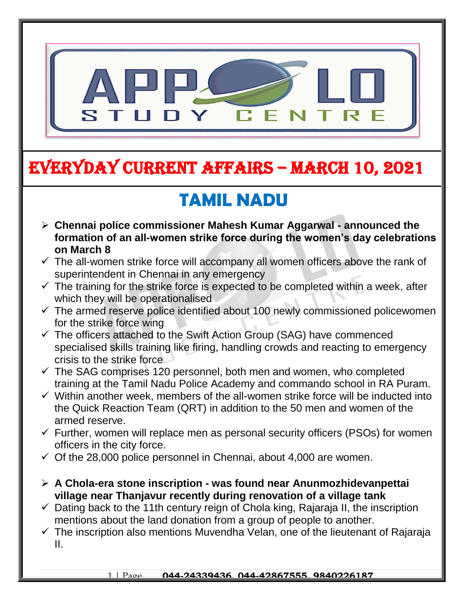

# EVERYDAY CURRENT AFFAIRS – MARCH 10, 2021

-

#### **TAMIL NADU**  $\frac{1}{2}$

- **Chennai police commissioner Mahesh Kumar Aggarwal - announced the formation of an all-women strike force during the women's day celebrations on March 8**
- $\checkmark$  The all-women strike force will accompany all women officers above the rank of superintendent in Chennai in any emergency
- $\checkmark$  The training for the strike force is expected to be completed within a week, after which they will be operationalised
- $\checkmark$  The armed reserve police identified about 100 newly commissioned policewomen for the strike force wing
- $\checkmark$  The officers attached to the Swift Action Group (SAG) have commenced specialised skills training like firing, handling crowds and reacting to emergency crisis to the strike force
- $\checkmark$  The SAG comprises 120 personnel, both men and women, who completed training at the Tamil Nadu Police Academy and commando school in RA Puram.
- $\checkmark$  Within another week, members of the all-women strike force will be inducted into the Quick Reaction Team (QRT) in addition to the 50 men and women of the armed reserve.
- $\checkmark$  Further, women will replace men as personal security officers (PSOs) for women officers in the city force.
- $\checkmark$  Of the 28,000 police personnel in Chennai, about 4,000 are women.
- **A Chola-era stone inscription - was found near Anunmozhidevanpettai village near Thanjavur recently during renovation of a village tank**
- $\checkmark$  Dating back to the 11th century reign of Chola king, Rajaraja II, the inscription mentions about the land donation from a group of people to another.
- $\checkmark$  The inscription also mentions Muvendha Velan, one of the lieutenant of Rajaraja II.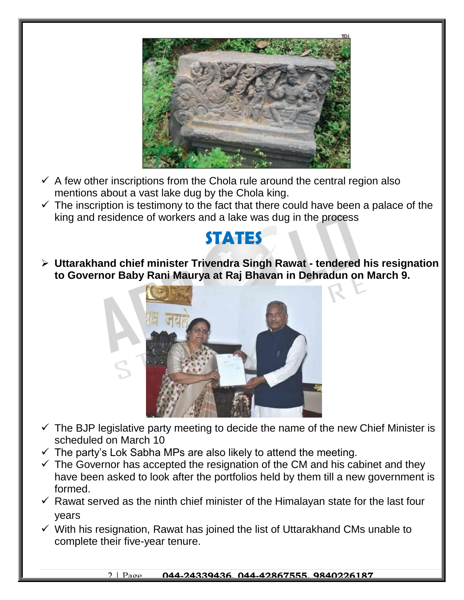

- $\checkmark$  A few other inscriptions from the Chola rule around the central region also mentions about a vast lake dug by the Chola king.
- $\checkmark$  The inscription is testimony to the fact that there could have been a palace of the king and residence of workers and a lake was dug in the process

### **STATES**

 **Uttarakhand chief minister Trivendra Singh Rawat - tendered his resignation to Governor Baby Rani Maurya at Raj Bhavan in Dehradun on March 9.** 



- $\checkmark$  The BJP legislative party meeting to decide the name of the new Chief Minister is scheduled on March 10
- $\checkmark$  The party's Lok Sabha MPs are also likely to attend the meeting.
- $\checkmark$  The Governor has accepted the resignation of the CM and his cabinet and they have been asked to look after the portfolios held by them till a new government is formed.
- $\checkmark$  Rawat served as the ninth chief minister of the Himalayan state for the last four years
- $\checkmark$  With his resignation, Rawat has joined the list of Uttarakhand CMs unable to complete their five-year tenure.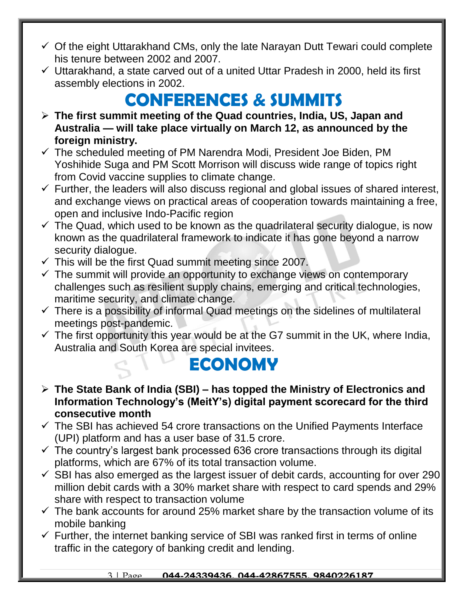- $\checkmark$  Of the eight Uttarakhand CMs, only the late Narayan Dutt Tewari could complete his tenure between 2002 and 2007.
- $\checkmark$  Uttarakhand, a state carved out of a united Uttar Pradesh in 2000, held its first assembly elections in 2002.

## **CONFERENCES & SUMMITS**

- **The first summit meeting of the Quad countries, India, US, Japan and Australia — will take place virtually on March 12, as announced by the foreign ministry.**
- $\checkmark$  The scheduled meeting of PM Narendra Modi, President Joe Biden, PM Yoshihide Suga and PM Scott Morrison will discuss wide range of topics right from Covid vaccine supplies to climate change.
- $\checkmark$  Further, the leaders will also discuss regional and global issues of shared interest, and exchange views on practical areas of cooperation towards maintaining a free, open and inclusive Indo-Pacific region
- $\checkmark$  The Quad, which used to be known as the quadrilateral security dialogue, is now known as the quadrilateral framework to indicate it has gone beyond a narrow security dialogue.
- $\checkmark$  This will be the first Quad summit meeting since 2007.
- $\checkmark$  The summit will provide an opportunity to exchange views on contemporary challenges such as resilient supply chains, emerging and critical technologies, maritime security, and climate change.
- $\checkmark$  There is a possibility of informal Quad meetings on the sidelines of multilateral meetings post-pandemic.
- $\checkmark$  The first opportunity this year would be at the G7 summit in the UK, where India, Australia and South Korea are special invitees.

### **ECONOMY**

- **The State Bank of India (SBI) – has topped the Ministry of Electronics and Information Technology's (MeitY's) digital payment scorecard for the third consecutive month**
- $\checkmark$  The SBI has achieved 54 crore transactions on the Unified Payments Interface (UPI) platform and has a user base of 31.5 crore.
- $\checkmark$  The country's largest bank processed 636 crore transactions through its digital platforms, which are 67% of its total transaction volume.
- $\checkmark$  SBI has also emerged as the largest issuer of debit cards, accounting for over 290 million debit cards with a 30% market share with respect to card spends and 29% share with respect to transaction volume
- $\checkmark$  The bank accounts for around 25% market share by the transaction volume of its mobile banking
- $\checkmark$  Further, the internet banking service of SBI was ranked first in terms of online traffic in the category of banking credit and lending.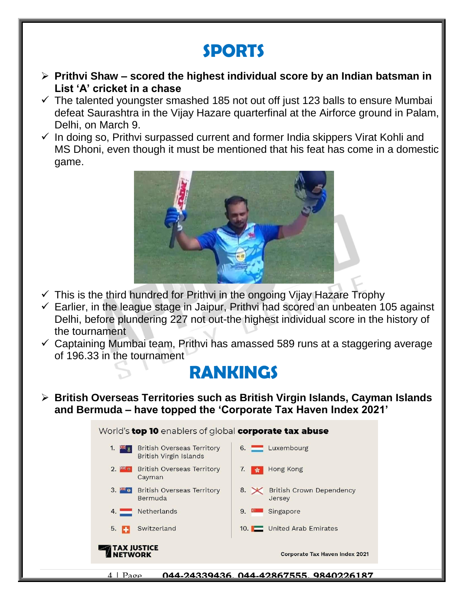## **SPORTS**

- **Prithvi Shaw – scored the highest individual score by an Indian batsman in List 'A' cricket in a chase**
- $\checkmark$  The talented youngster smashed 185 not out off just 123 balls to ensure Mumbai defeat Saurashtra in the Vijay Hazare quarterfinal at the Airforce ground in Palam, Delhi, on March 9.
- $\checkmark$  In doing so, Prithvi surpassed current and former India skippers Virat Kohli and MS Dhoni, even though it must be mentioned that his feat has come in a domestic game.



- $\checkmark$  This is the third hundred for Prithvi in the ongoing Vijay Hazare Trophy
- $\checkmark$  Earlier, in the league stage in Jaipur, Prithvi had scored an unbeaten 105 against Delhi, before plundering 227 not out-the highest individual score in the history of the tournament
- $\checkmark$  Captaining Mumbai team, Prithvi has amassed 589 runs at a staggering average of 196.33 in the tournament

#### **RANKINGS**

 **British Overseas Territories such as British Virgin Islands, Cayman Islands and Bermuda – have topped the 'Corporate Tax Haven Index 2021'**